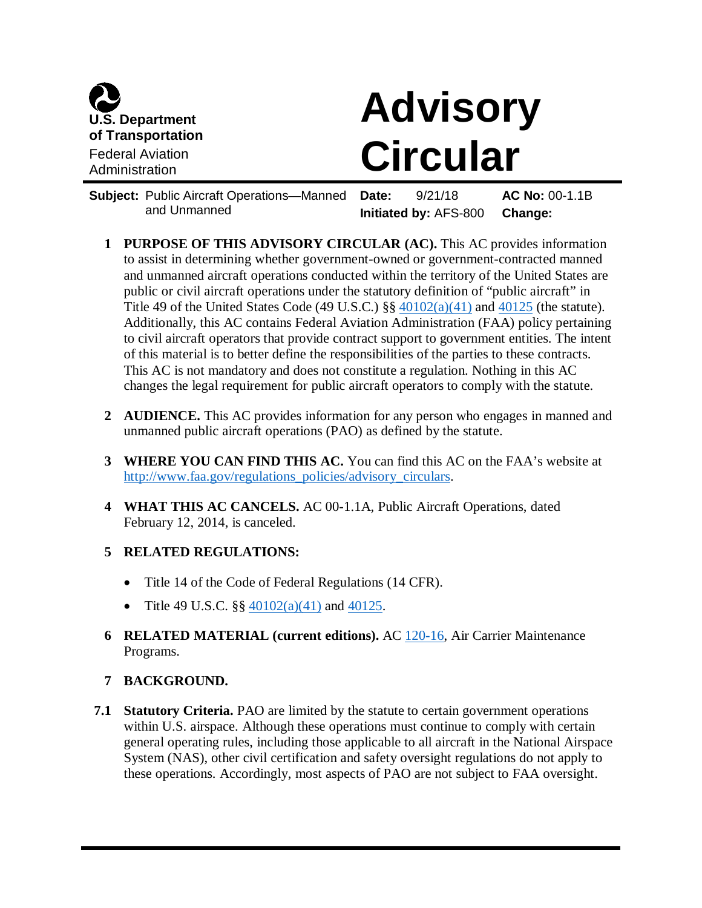

# **Advisory Circular**

**Subject:** Public Aircraft Operations—Manned and Unmanned **Date:** 9/21/18 **AC No:** 00-1.1B **Initiated by:** AFS-800 **Change:**

- **1 PURPOSE OF THIS ADVISORY CIRCULAR (AC).** This AC provides information to assist in determining whether government-owned or government-contracted manned and unmanned aircraft operations conducted within the territory of the United States are public or civil aircraft operations under the statutory definition of "public aircraft" in Title 49 of the United States Code (49 U.S.C.)  $\S\S 40102(a)(41)$  $\S\S 40102(a)(41)$  and  $40125$  (the statute). Additionally, this AC contains Federal Aviation Administration (FAA) policy pertaining to civil aircraft operators that provide contract support to government entities. The intent of this material is to better define the responsibilities of the parties to these contracts. This AC is not mandatory and does not constitute a regulation. Nothing in this AC changes the legal requirement for public aircraft operators to comply with the statute.
- **2 AUDIENCE.** This AC provides information for any person who engages in manned and unmanned public aircraft operations (PAO) as defined by the statute.
- **3 WHERE YOU CAN FIND THIS AC.** You can find this AC on the FAA's website at [http://www.faa.gov/regulations\\_policies/advisory\\_circulars.](http://www.faa.gov/regulations_policies/advisory_circulars)
- **4 WHAT THIS AC CANCELS.** AC 00-1.1A, Public Aircraft Operations, dated February 12, 2014, is canceled.

## **5 RELATED REGULATIONS:**

- Title 14 of the Code of Federal Regulations (14 CFR).
- Title 49 U.S.C.  $\S\S 40102(a)(41)$  $\S\S 40102(a)(41)$  and  $40125$ .
- **6 RELATED MATERIAL (current editions).** AC [120-16,](https://www.faa.gov/regulations_policies/advisory_circulars/index.cfm/go/document.information/documentID/1028859) Air Carrier Maintenance Programs.

## **7 BACKGROUND.**

**7.1 Statutory Criteria.** PAO are limited by the statute to certain government operations within U.S. airspace. Although these operations must continue to comply with certain general operating rules, including those applicable to all aircraft in the National Airspace System (NAS), other civil certification and safety oversight regulations do not apply to these operations. Accordingly, most aspects of PAO are not subject to FAA oversight.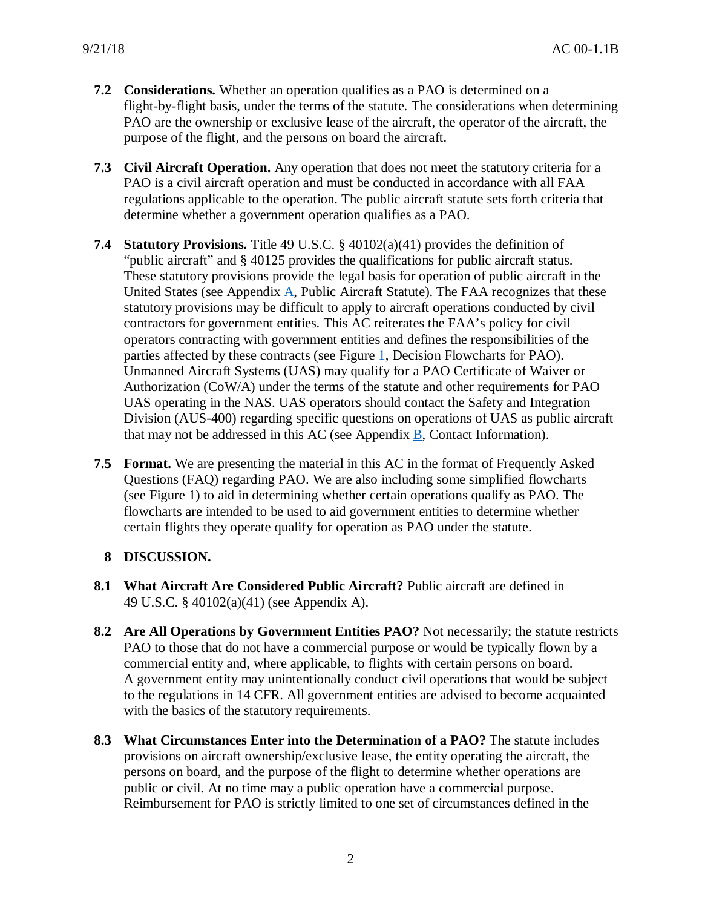- **7.2 Considerations.** Whether an operation qualifies as a PAO is determined on a flight-by-flight basis, under the terms of the statute. The considerations when determining PAO are the ownership or exclusive lease of the aircraft, the operator of the aircraft, the purpose of the flight, and the persons on board the aircraft.
- **7.3 Civil Aircraft Operation.** Any operation that does not meet the statutory criteria for a PAO is a civil aircraft operation and must be conducted in accordance with all FAA regulations applicable to the operation. The public aircraft statute sets forth criteria that determine whether a government operation qualifies as a PAO.
- **7.4 Statutory Provisions.** Title 49 U.S.C. § 40102(a)(41) provides the definition of "public aircraft" and § 40125 provides the qualifications for public aircraft status. These statutory provisions provide the legal basis for operation of public aircraft in the United States (see Appendix [A,](#page-14-0) Public Aircraft Statute). The FAA recognizes that these statutory provisions may be difficult to apply to aircraft operations conducted by civil contractors for government entities. This AC reiterates the FAA's policy for civil operators contracting with government entities and defines the responsibilities of the parties affected by these contracts (see Figure [1,](#page-11-0) Decision Flowcharts for PAO). Unmanned Aircraft Systems (UAS) may qualify for a PAO Certificate of Waiver or Authorization (CoW/A) under the terms of the statute and other requirements for PAO UAS operating in the NAS. UAS operators should contact the Safety and Integration Division (AUS-400) regarding specific questions on operations of UAS as public aircraft that may not be addressed in this AC (see Appendix [B,](#page-17-0) Contact Information).
- **7.5 Format.** We are presenting the material in this AC in the format of Frequently Asked Questions (FAQ) regarding PAO. We are also including some simplified flowcharts (see Figure 1) to aid in determining whether certain operations qualify as PAO. The flowcharts are intended to be used to aid government entities to determine whether certain flights they operate qualify for operation as PAO under the statute.

## **8 DISCUSSION.**

- **8.1 What Aircraft Are Considered Public Aircraft?** Public aircraft are defined in 49 U.S.C. § 40102(a)(41) (see Appendix A).
- **8.2 Are All Operations by Government Entities PAO?** Not necessarily; the statute restricts PAO to those that do not have a commercial purpose or would be typically flown by a commercial entity and, where applicable, to flights with certain persons on board. A government entity may unintentionally conduct civil operations that would be subject to the regulations in 14 CFR. All government entities are advised to become acquainted with the basics of the statutory requirements.
- **8.3 What Circumstances Enter into the Determination of a PAO?** The statute includes provisions on aircraft ownership/exclusive lease, the entity operating the aircraft, the persons on board, and the purpose of the flight to determine whether operations are public or civil. At no time may a public operation have a commercial purpose. Reimbursement for PAO is strictly limited to one set of circumstances defined in the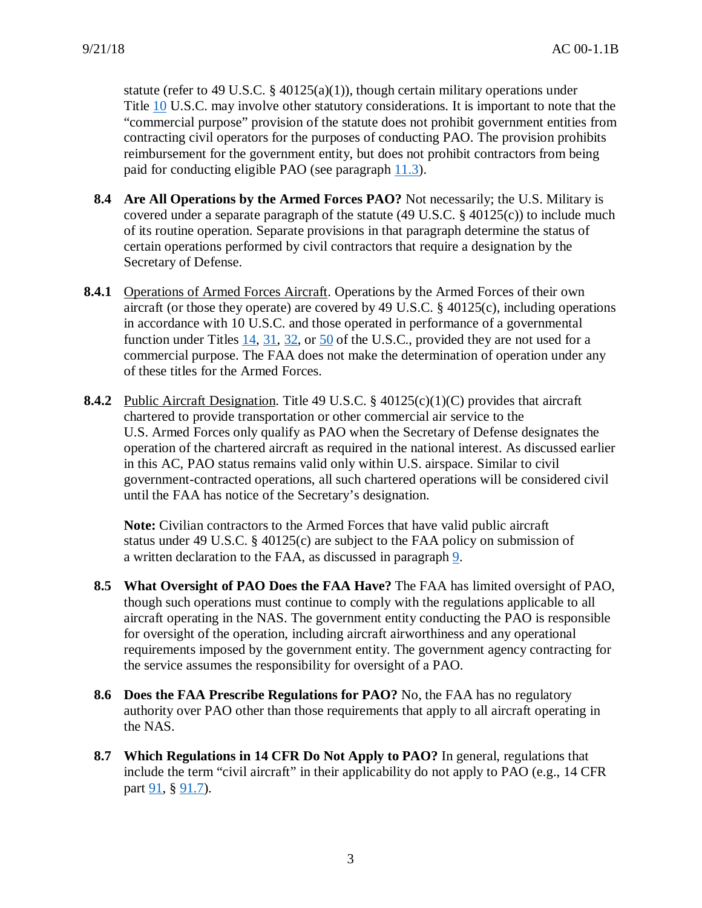statute (refer to 49 U.S.C. § 40125(a)(1)), though certain military operations under Title [10](http://uscode.house.gov/view.xhtml?path=/prelim@title10&edition=prelim) U.S.C. may involve other statutory considerations. It is important to note that the "commercial purpose" provision of the statute does not prohibit government entities from contracting civil operators for the purposes of conducting PAO. The provision prohibits reimbursement for the government entity, but does not prohibit contractors from being paid for conducting eligible PAO (see paragraph [11.3\)](#page-8-0).

- **8.4 Are All Operations by the Armed Forces PAO?** Not necessarily; the U.S. Military is covered under a separate paragraph of the statute (49 U.S.C.  $\S$  40125(c)) to include much of its routine operation. Separate provisions in that paragraph determine the status of certain operations performed by civil contractors that require a designation by the Secretary of Defense.
- **8.4.1** Operations of Armed Forces Aircraft. Operations by the Armed Forces of their own aircraft (or those they operate) are covered by 49 U.S.C. § 40125(c), including operations in accordance with 10 U.S.C. and those operated in performance of a governmental function under Titles  $14$ ,  $31$ ,  $32$ , or  $50$  of the U.S.C., provided they are not used for a commercial purpose. The FAA does not make the determination of operation under any of these titles for the Armed Forces.
- **8.4.2** Public Aircraft Designation. Title 49 U.S.C. § 40125(c)(1)(C) provides that aircraft chartered to provide transportation or other commercial air service to the U.S. Armed Forces only qualify as PAO when the Secretary of Defense designates the operation of the chartered aircraft as required in the national interest. As discussed earlier in this AC, PAO status remains valid only within U.S. airspace. Similar to civil government-contracted operations, all such chartered operations will be considered civil until the FAA has notice of the Secretary's designation.

**Note:** Civilian contractors to the Armed Forces that have valid public aircraft status under 49 U.S.C. § 40125(c) are subject to the FAA policy on submission of a written declaration to the FAA, as discussed in paragraph [9.](#page-4-0)

- **8.5 What Oversight of PAO Does the FAA Have?** The FAA has limited oversight of PAO, though such operations must continue to comply with the regulations applicable to all aircraft operating in the NAS. The government entity conducting the PAO is responsible for oversight of the operation, including aircraft airworthiness and any operational requirements imposed by the government entity. The government agency contracting for the service assumes the responsibility for oversight of a PAO.
- **8.6 Does the FAA Prescribe Regulations for PAO?** No, the FAA has no regulatory authority over PAO other than those requirements that apply to all aircraft operating in the NAS.
- **8.7 Which Regulations in 14 CFR Do Not Apply to PAO?** In general, regulations that include the term "civil aircraft" in their applicability do not apply to PAO (e.g., 14 CFR part  $91, § 91.7$ ).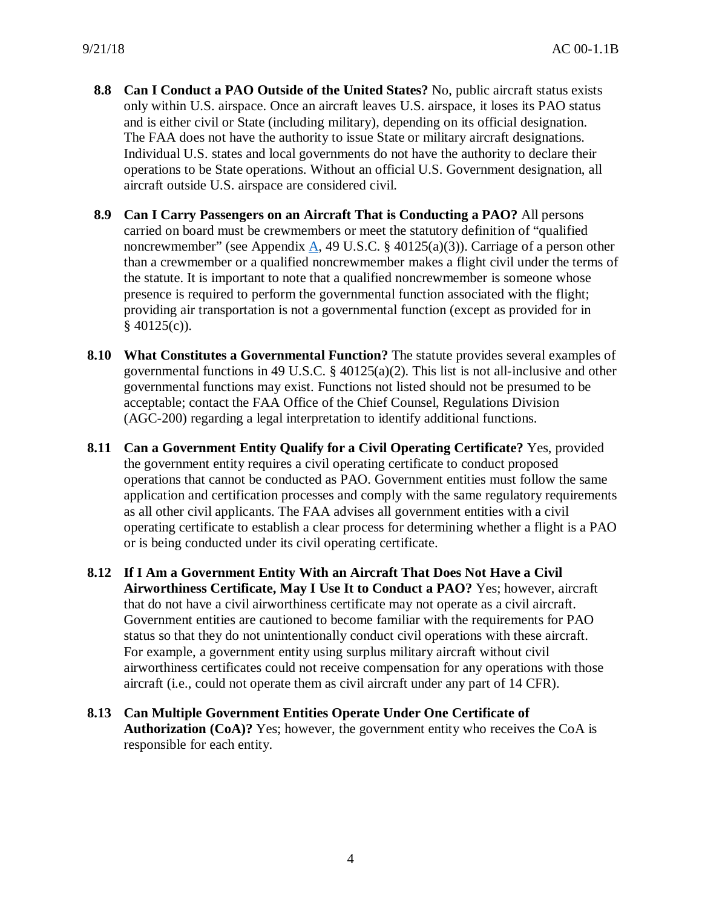- **8.8 Can I Conduct a PAO Outside of the United States?** No, public aircraft status exists only within U.S. airspace. Once an aircraft leaves U.S. airspace, it loses its PAO status and is either civil or State (including military), depending on its official designation. The FAA does not have the authority to issue State or military aircraft designations. Individual U.S. states and local governments do not have the authority to declare their operations to be State operations. Without an official U.S. Government designation, all aircraft outside U.S. airspace are considered civil.
- **8.9 Can I Carry Passengers on an Aircraft That is Conducting a PAO?** All persons carried on board must be crewmembers or meet the statutory definition of "qualified noncrewmember" (see Appendix [A,](#page-14-0) 49 U.S.C. § 40125(a)(3)). Carriage of a person other than a crewmember or a qualified noncrewmember makes a flight civil under the terms of the statute. It is important to note that a qualified noncrewmember is someone whose presence is required to perform the governmental function associated with the flight; providing air transportation is not a governmental function (except as provided for in  $§$  40125(c)).
- **8.10 What Constitutes a Governmental Function?** The statute provides several examples of governmental functions in 49 U.S.C. § 40125(a)(2). This list is not all-inclusive and other governmental functions may exist. Functions not listed should not be presumed to be acceptable; contact the FAA Office of the Chief Counsel, Regulations Division (AGC-200) regarding a legal interpretation to identify additional functions.
- **8.11 Can a Government Entity Qualify for a Civil Operating Certificate?** Yes, provided the government entity requires a civil operating certificate to conduct proposed operations that cannot be conducted as PAO. Government entities must follow the same application and certification processes and comply with the same regulatory requirements as all other civil applicants. The FAA advises all government entities with a civil operating certificate to establish a clear process for determining whether a flight is a PAO or is being conducted under its civil operating certificate.
- **8.12 If I Am a Government Entity With an Aircraft That Does Not Have a Civil Airworthiness Certificate, May I Use It to Conduct a PAO?** Yes; however, aircraft that do not have a civil airworthiness certificate may not operate as a civil aircraft. Government entities are cautioned to become familiar with the requirements for PAO status so that they do not unintentionally conduct civil operations with these aircraft. For example, a government entity using surplus military aircraft without civil airworthiness certificates could not receive compensation for any operations with those aircraft (i.e., could not operate them as civil aircraft under any part of 14 CFR).
- **8.13 Can Multiple Government Entities Operate Under One Certificate of Authorization (CoA)?** Yes; however, the government entity who receives the CoA is responsible for each entity.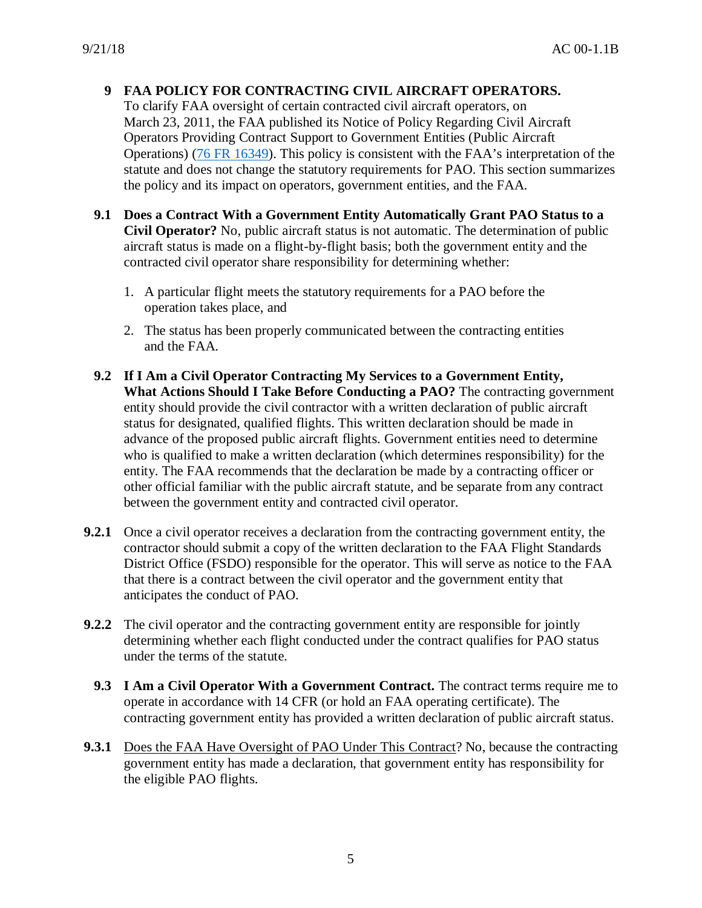# <span id="page-4-0"></span>**9 FAA POLICY FOR CONTRACTING CIVIL AIRCRAFT OPERATORS.**

To clarify FAA oversight of certain contracted civil aircraft operators, on March 23, 2011, the FAA published its Notice of Policy Regarding Civil Aircraft Operators Providing Contract Support to Government Entities (Public Aircraft Operations) [\(76 FR 16349\)](https://www.federalregister.gov/documents/2011/03/23/2011-6894/notice-of-policy-regarding-civil-aircraft-operators-providing-contract-support-to-government). This policy is consistent with the FAA's interpretation of the statute and does not change the statutory requirements for PAO. This section summarizes the policy and its impact on operators, government entities, and the FAA.

- **9.1 Does a Contract With a Government Entity Automatically Grant PAO Status to a Civil Operator?** No, public aircraft status is not automatic. The determination of public aircraft status is made on a flight-by-flight basis; both the government entity and the contracted civil operator share responsibility for determining whether:
	- 1. A particular flight meets the statutory requirements for a PAO before the operation takes place, and
	- 2. The status has been properly communicated between the contracting entities and the FAA.
- **9.2 If I Am a Civil Operator Contracting My Services to a Government Entity, What Actions Should I Take Before Conducting a PAO?** The contracting government entity should provide the civil contractor with a written declaration of public aircraft status for designated, qualified flights. This written declaration should be made in advance of the proposed public aircraft flights. Government entities need to determine who is qualified to make a written declaration (which determines responsibility) for the entity. The FAA recommends that the declaration be made by a contracting officer or other official familiar with the public aircraft statute, and be separate from any contract between the government entity and contracted civil operator.
- **9.2.1** Once a civil operator receives a declaration from the contracting government entity, the contractor should submit a copy of the written declaration to the FAA Flight Standards District Office (FSDO) responsible for the operator. This will serve as notice to the FAA that there is a contract between the civil operator and the government entity that anticipates the conduct of PAO.
- **9.2.2** The civil operator and the contracting government entity are responsible for jointly determining whether each flight conducted under the contract qualifies for PAO status under the terms of the statute.
	- **9.3 I Am a Civil Operator With a Government Contract.** The contract terms require me to operate in accordance with 14 CFR (or hold an FAA operating certificate). The contracting government entity has provided a written declaration of public aircraft status.
- **9.3.1** Does the FAA Have Oversight of PAO Under This Contract? No, because the contracting government entity has made a declaration, that government entity has responsibility for the eligible PAO flights.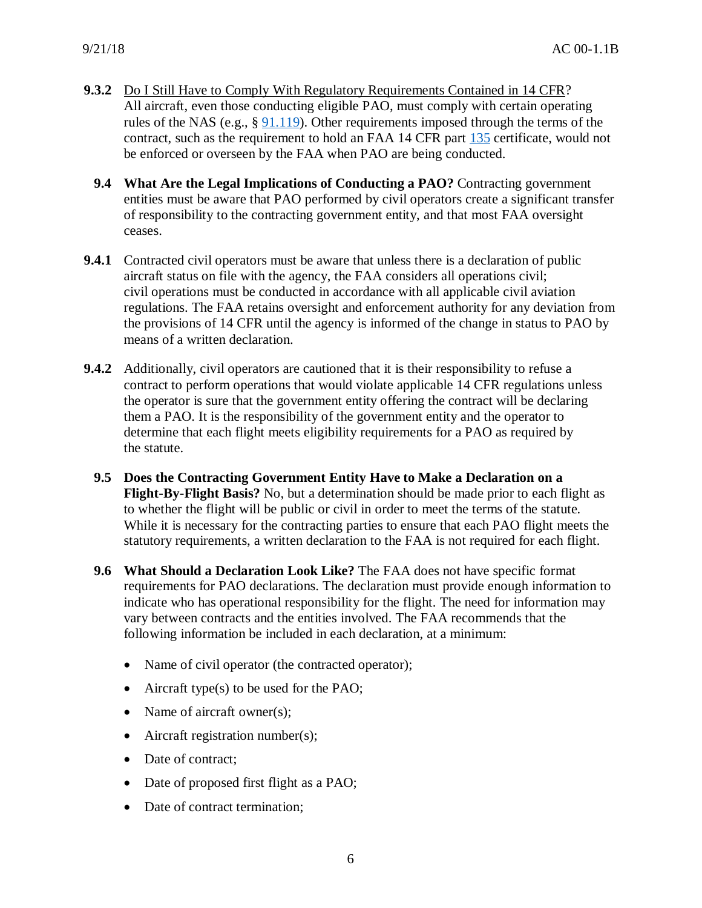- **9.3.2** Do I Still Have to Comply With Regulatory Requirements Contained in 14 CFR? All aircraft, even those conducting eligible PAO, must comply with certain operating rules of the NAS (e.g., § [91.119\)](https://www.ecfr.gov/cgi-bin/text-idx?SID=b1512cba6d9e1ebecb7c81e3d0cd6e1a&mc=true&node=se14.2.91_1119&rgn=div8). Other requirements imposed through the terms of the contract, such as the requirement to hold an FAA 14 CFR part [135](https://www.ecfr.gov/cgi-bin/text-idx?SID=b1512cba6d9e1ebecb7c81e3d0cd6e1a&mc=true&node=pt14.3.135&rgn=div5) certificate, would not be enforced or overseen by the FAA when PAO are being conducted.
	- **9.4 What Are the Legal Implications of Conducting a PAO?** Contracting government entities must be aware that PAO performed by civil operators create a significant transfer of responsibility to the contracting government entity, and that most FAA oversight ceases.
- **9.4.1** Contracted civil operators must be aware that unless there is a declaration of public aircraft status on file with the agency, the FAA considers all operations civil; civil operations must be conducted in accordance with all applicable civil aviation regulations. The FAA retains oversight and enforcement authority for any deviation from the provisions of 14 CFR until the agency is informed of the change in status to PAO by means of a written declaration.
- **9.4.2** Additionally, civil operators are cautioned that it is their responsibility to refuse a contract to perform operations that would violate applicable 14 CFR regulations unless the operator is sure that the government entity offering the contract will be declaring them a PAO. It is the responsibility of the government entity and the operator to determine that each flight meets eligibility requirements for a PAO as required by the statute.
	- **9.5 Does the Contracting Government Entity Have to Make a Declaration on a Flight-By-Flight Basis?** No, but a determination should be made prior to each flight as to whether the flight will be public or civil in order to meet the terms of the statute. While it is necessary for the contracting parties to ensure that each PAO flight meets the statutory requirements, a written declaration to the FAA is not required for each flight.
	- **9.6 What Should a Declaration Look Like?** The FAA does not have specific format requirements for PAO declarations. The declaration must provide enough information to indicate who has operational responsibility for the flight. The need for information may vary between contracts and the entities involved. The FAA recommends that the following information be included in each declaration, at a minimum:
		- Name of civil operator (the contracted operator);
		- Aircraft type(s) to be used for the PAO;
		- Name of aircraft owner(s);
		- Aircraft registration number(s);
		- Date of contract:
		- Date of proposed first flight as a PAO;
		- Date of contract termination;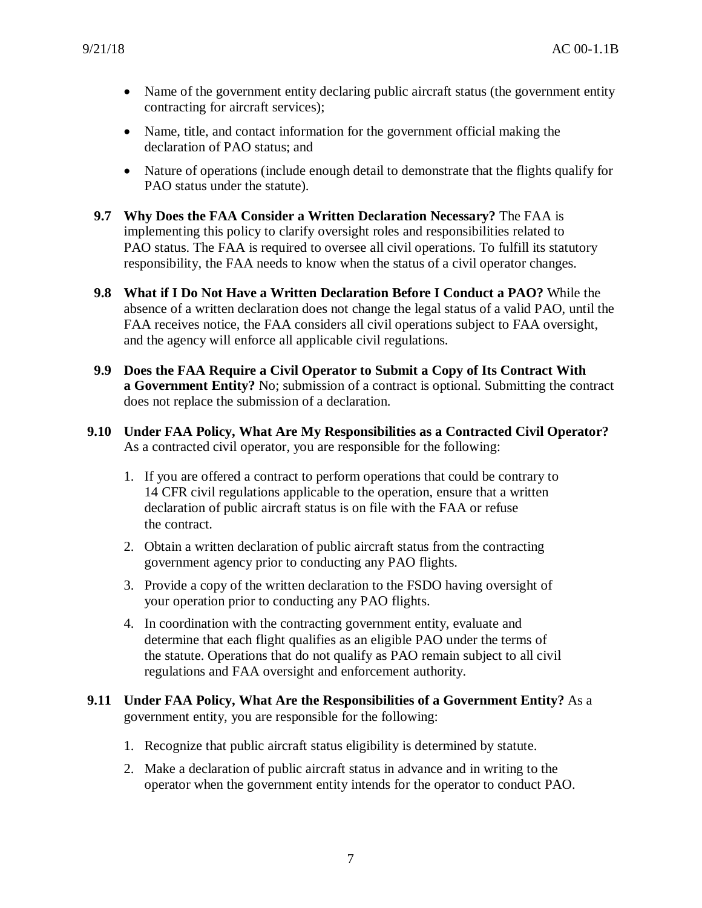- Name of the government entity declaring public aircraft status (the government entity contracting for aircraft services);
- Name, title, and contact information for the government official making the declaration of PAO status; and
- Nature of operations (include enough detail to demonstrate that the flights qualify for PAO status under the statute).
- **9.7 Why Does the FAA Consider a Written Declaration Necessary?** The FAA is implementing this policy to clarify oversight roles and responsibilities related to PAO status. The FAA is required to oversee all civil operations. To fulfill its statutory responsibility, the FAA needs to know when the status of a civil operator changes.
- **9.8 What if I Do Not Have a Written Declaration Before I Conduct a PAO?** While the absence of a written declaration does not change the legal status of a valid PAO, until the FAA receives notice, the FAA considers all civil operations subject to FAA oversight, and the agency will enforce all applicable civil regulations.
- **9.9 Does the FAA Require a Civil Operator to Submit a Copy of Its Contract With a Government Entity?** No; submission of a contract is optional. Submitting the contract does not replace the submission of a declaration.
- **9.10 Under FAA Policy, What Are My Responsibilities as a Contracted Civil Operator?** As a contracted civil operator, you are responsible for the following:
	- 1. If you are offered a contract to perform operations that could be contrary to 14 CFR civil regulations applicable to the operation, ensure that a written declaration of public aircraft status is on file with the FAA or refuse the contract.
	- 2. Obtain a written declaration of public aircraft status from the contracting government agency prior to conducting any PAO flights.
	- 3. Provide a copy of the written declaration to the FSDO having oversight of your operation prior to conducting any PAO flights.
	- 4. In coordination with the contracting government entity, evaluate and determine that each flight qualifies as an eligible PAO under the terms of the statute. Operations that do not qualify as PAO remain subject to all civil regulations and FAA oversight and enforcement authority.
- **9.11 Under FAA Policy, What Are the Responsibilities of a Government Entity?** As a government entity, you are responsible for the following:
	- 1. Recognize that public aircraft status eligibility is determined by statute.
	- 2. Make a declaration of public aircraft status in advance and in writing to the operator when the government entity intends for the operator to conduct PAO.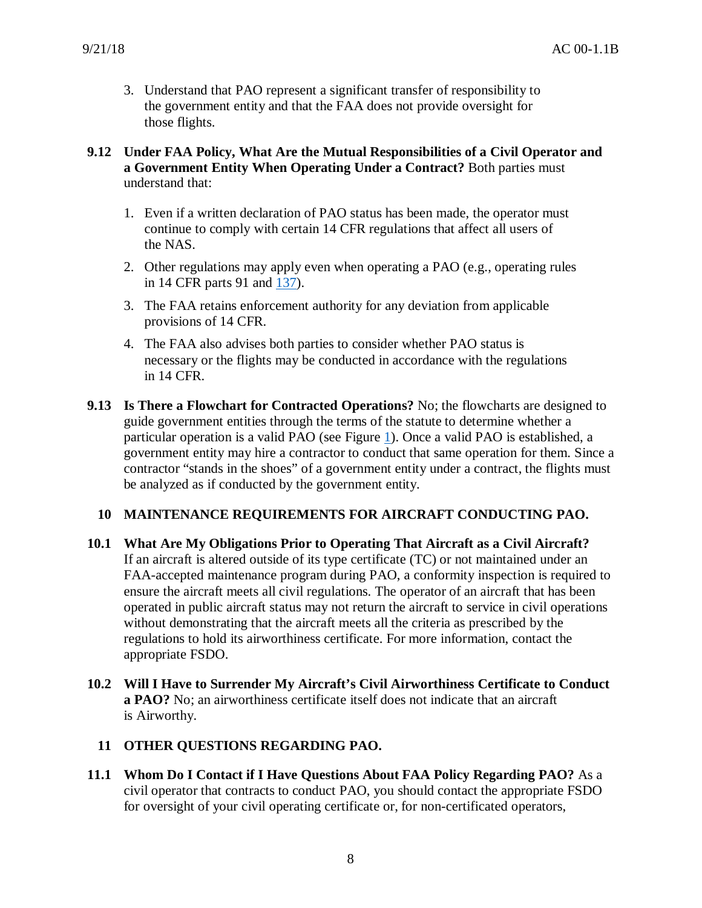3. Understand that PAO represent a significant transfer of responsibility to the government entity and that the FAA does not provide oversight for those flights.

## **9.12 Under FAA Policy, What Are the Mutual Responsibilities of a Civil Operator and a Government Entity When Operating Under a Contract?** Both parties must understand that:

- 1. Even if a written declaration of PAO status has been made, the operator must continue to comply with certain 14 CFR regulations that affect all users of the NAS.
- 2. Other regulations may apply even when operating a PAO (e.g., operating rules in 14 CFR parts 91 and [137\)](https://www.ecfr.gov/cgi-bin/text-idx?SID=b1512cba6d9e1ebecb7c81e3d0cd6e1a&mc=true&node=pt14.3.137&rgn=div5).
- 3. The FAA retains enforcement authority for any deviation from applicable provisions of 14 CFR.
- 4. The FAA also advises both parties to consider whether PAO status is necessary or the flights may be conducted in accordance with the regulations in 14 CFR.
- **9.13 Is There a Flowchart for Contracted Operations?** No; the flowcharts are designed to guide government entities through the terms of the statute to determine whether a particular operation is a valid PAO (see Figure [1\)](#page-11-0). Once a valid PAO is established, a government entity may hire a contractor to conduct that same operation for them. Since a contractor "stands in the shoes" of a government entity under a contract, the flights must be analyzed as if conducted by the government entity.

# **10 MAINTENANCE REQUIREMENTS FOR AIRCRAFT CONDUCTING PAO.**

- **10.1 What Are My Obligations Prior to Operating That Aircraft as a Civil Aircraft?** If an aircraft is altered outside of its type certificate (TC) or not maintained under an FAA-accepted maintenance program during PAO, a conformity inspection is required to ensure the aircraft meets all civil regulations. The operator of an aircraft that has been operated in public aircraft status may not return the aircraft to service in civil operations without demonstrating that the aircraft meets all the criteria as prescribed by the regulations to hold its airworthiness certificate. For more information, contact the appropriate FSDO.
- **10.2 Will I Have to Surrender My Aircraft's Civil Airworthiness Certificate to Conduct a PAO?** No; an airworthiness certificate itself does not indicate that an aircraft is Airworthy.

## **11 OTHER QUESTIONS REGARDING PAO.**

**11.1 Whom Do I Contact if I Have Questions About FAA Policy Regarding PAO?** As a civil operator that contracts to conduct PAO, you should contact the appropriate FSDO for oversight of your civil operating certificate or, for non-certificated operators,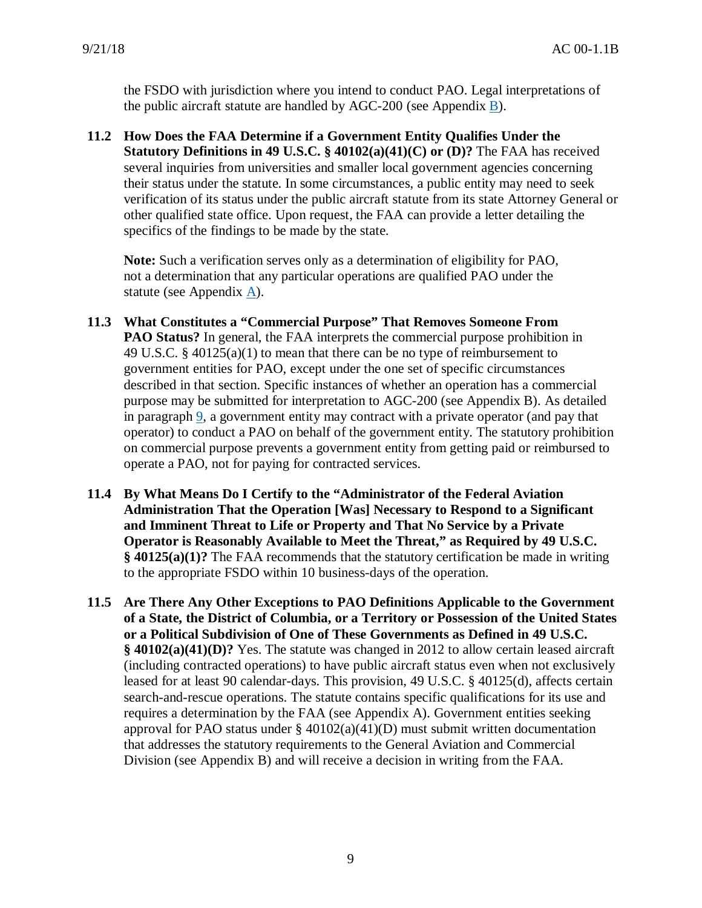the FSDO with jurisdiction where you intend to conduct PAO. Legal interpretations of the public aircraft statute are handled by AGC-200 (see Appendix [B\)](#page-17-0).

**11.2 How Does the FAA Determine if a Government Entity Qualifies Under the Statutory Definitions in 49 U.S.C. § 40102(a)(41)(C) or (D)?** The FAA has received several inquiries from universities and smaller local government agencies concerning their status under the statute. In some circumstances, a public entity may need to seek verification of its status under the public aircraft statute from its state Attorney General or other qualified state office. Upon request, the FAA can provide a letter detailing the specifics of the findings to be made by the state.

**Note:** Such a verification serves only as a determination of eligibility for PAO, not a determination that any particular operations are qualified PAO under the statute (see Appendix [A\)](#page-14-0).

- <span id="page-8-0"></span>**11.3 What Constitutes a "Commercial Purpose" That Removes Someone From PAO Status?** In general, the FAA interprets the commercial purpose prohibition in 49 U.S.C. § 40125(a)(1) to mean that there can be no type of reimbursement to government entities for PAO, except under the one set of specific circumstances described in that section. Specific instances of whether an operation has a commercial purpose may be submitted for interpretation to AGC-200 (see Appendix [B\)](#page-17-0). As detailed in paragraph [9,](#page-4-0) a government entity may contract with a private operator (and pay that operator) to conduct a PAO on behalf of the government entity. The statutory prohibition on commercial purpose prevents a government entity from getting paid or reimbursed to operate a PAO, not for paying for contracted services.
- **11.4 By What Means Do I Certify to the "Administrator of the Federal Aviation Administration That the Operation [Was] Necessary to Respond to a Significant and Imminent Threat to Life or Property and That No Service by a Private Operator is Reasonably Available to Meet the Threat," as Required by 49 U.S.C. § 40125(a)(1)?** The FAA recommends that the statutory certification be made in writing to the appropriate FSDO within 10 business-days of the operation.
- **11.5 Are There Any Other Exceptions to PAO Definitions Applicable to the Government of a State, the District of Columbia, or a Territory or Possession of the United States or a Political Subdivision of One of These Governments as Defined in 49 U.S.C. § 40102(a)(41)(D)?** Yes. The statute was changed in 2012 to allow certain leased aircraft (including contracted operations) to have public aircraft status even when not exclusively leased for at least 90 calendar-days. This provision, 49 U.S.C. § 40125(d), affects certain search-and-rescue operations. The statute contains specific qualifications for its use and requires a determination by the FAA (see Appendix A). Government entities seeking approval for PAO status under  $\S$  40102(a)(41)(D) must submit written documentation that addresses the statutory requirements to the General Aviation and Commercial Division (see Appendix B) and will receive a decision in writing from the FAA.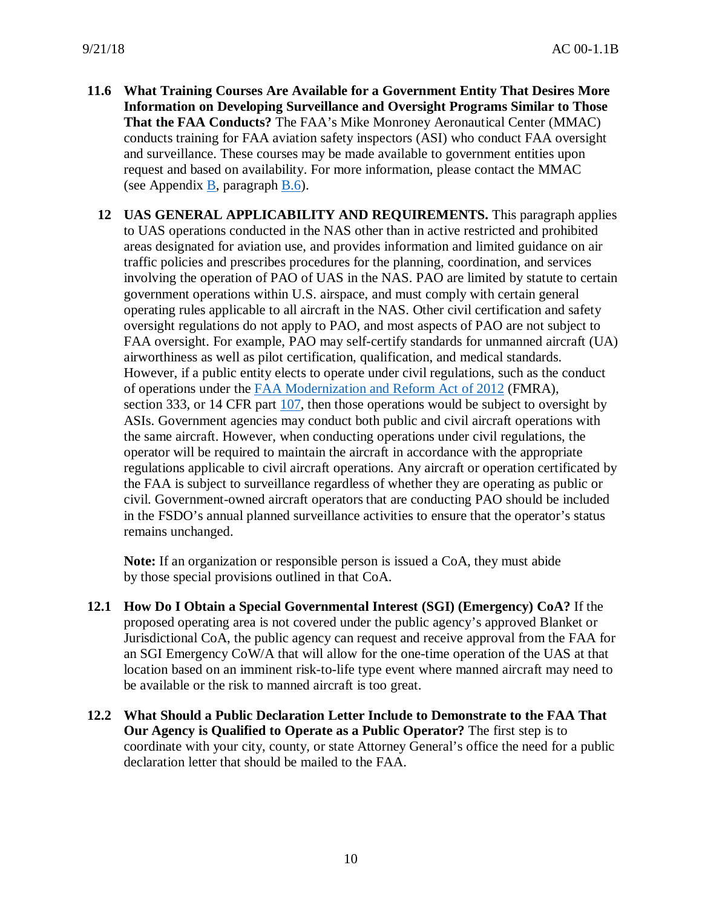- **11.6 What Training Courses Are Available for a Government Entity That Desires More Information on Developing Surveillance and Oversight Programs Similar to Those That the FAA Conducts?** The FAA's Mike Monroney Aeronautical Center (MMAC) conducts training for FAA aviation safety inspectors (ASI) who conduct FAA oversight and surveillance. These courses may be made available to government entities upon request and based on availability. For more information, please contact the MMAC (see Appendix [B,](#page-17-0) paragraph [B.6\)](#page-18-0).
	- **12 UAS GENERAL APPLICABILITY AND REQUIREMENTS.** This paragraph applies to UAS operations conducted in the NAS other than in active restricted and prohibited areas designated for aviation use, and provides information and limited guidance on air traffic policies and prescribes procedures for the planning, coordination, and services involving the operation of PAO of UAS in the NAS. PAO are limited by statute to certain government operations within U.S. airspace, and must comply with certain general operating rules applicable to all aircraft in the NAS. Other civil certification and safety oversight regulations do not apply to PAO, and most aspects of PAO are not subject to FAA oversight. For example, PAO may self-certify standards for unmanned aircraft (UA) airworthiness as well as pilot certification, qualification, and medical standards. However, if a public entity elects to operate under civil regulations, such as the conduct of operations under the [FAA Modernization and Reform Act of 2012](https://www.govinfo.gov/app/details/PLAW-112publ95/summary) (FMRA), section 333, or 14 CFR part [107,](https://www.ecfr.gov/cgi-bin/text-idx?SID=0189bcf950e5b8ab0950c196a438dd96&mc=true&node=pt14.2.107&rgn=div5) then those operations would be subject to oversight by ASIs. Government agencies may conduct both public and civil aircraft operations with the same aircraft. However, when conducting operations under civil regulations, the operator will be required to maintain the aircraft in accordance with the appropriate regulations applicable to civil aircraft operations. Any aircraft or operation certificated by the FAA is subject to surveillance regardless of whether they are operating as public or civil. Government-owned aircraft operators that are conducting PAO should be included in the FSDO's annual planned surveillance activities to ensure that the operator's status remains unchanged.

**Note:** If an organization or responsible person is issued a CoA, they must abide by those special provisions outlined in that CoA.

- **12.1 How Do I Obtain a Special Governmental Interest (SGI) (Emergency) CoA?** If the proposed operating area is not covered under the public agency's approved Blanket or Jurisdictional CoA, the public agency can request and receive approval from the FAA for an SGI Emergency CoW/A that will allow for the one-time operation of the UAS at that location based on an imminent risk-to-life type event where manned aircraft may need to be available or the risk to manned aircraft is too great.
- **12.2 What Should a Public Declaration Letter Include to Demonstrate to the FAA That Our Agency is Qualified to Operate as a Public Operator?** The first step is to coordinate with your city, county, or state Attorney General's office the need for a public declaration letter that should be mailed to the FAA.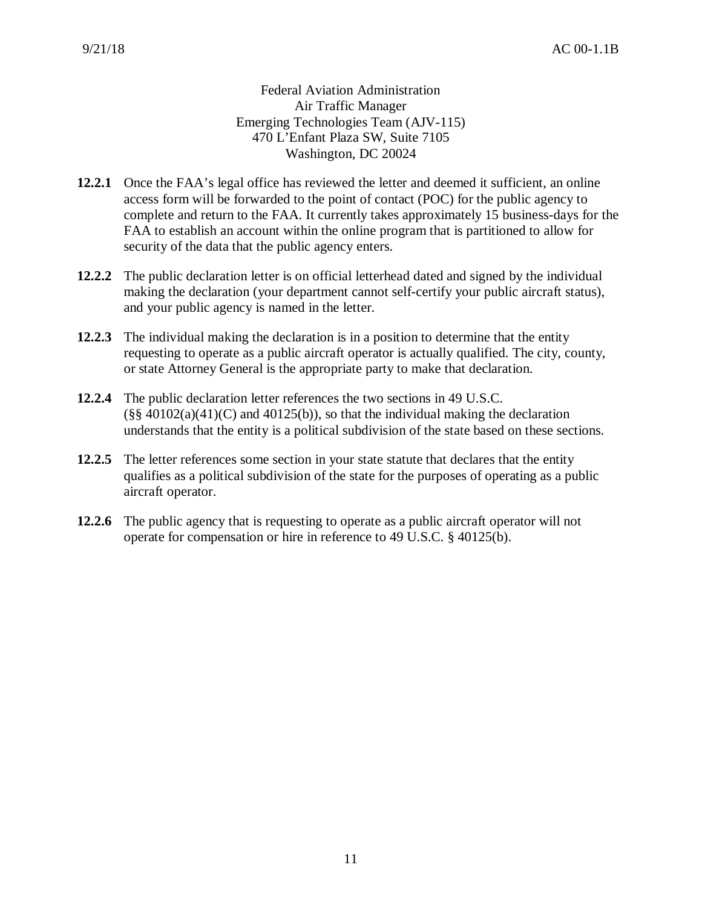Federal Aviation Administration Air Traffic Manager Emerging Technologies Team (AJV-115) 470 L'Enfant Plaza SW, Suite 7105 Washington, DC 20024

- **12.2.1** Once the FAA's legal office has reviewed the letter and deemed it sufficient, an online access form will be forwarded to the point of contact (POC) for the public agency to complete and return to the FAA. It currently takes approximately 15 business-days for the FAA to establish an account within the online program that is partitioned to allow for security of the data that the public agency enters.
- **12.2.2** The public declaration letter is on official letterhead dated and signed by the individual making the declaration (your department cannot self-certify your public aircraft status), and your public agency is named in the letter.
- **12.2.3** The individual making the declaration is in a position to determine that the entity requesting to operate as a public aircraft operator is actually qualified. The city, county, or state Attorney General is the appropriate party to make that declaration.
- **12.2.4** The public declaration letter references the two sections in 49 U.S.C.  $(\S\$  40102(a)(41)(C) and 40125(b)), so that the individual making the declaration understands that the entity is a political subdivision of the state based on these sections.
- **12.2.5** The letter references some section in your state statute that declares that the entity qualifies as a political subdivision of the state for the purposes of operating as a public aircraft operator.
- **12.2.6** The public agency that is requesting to operate as a public aircraft operator will not operate for compensation or hire in reference to 49 U.S.C. § 40125(b).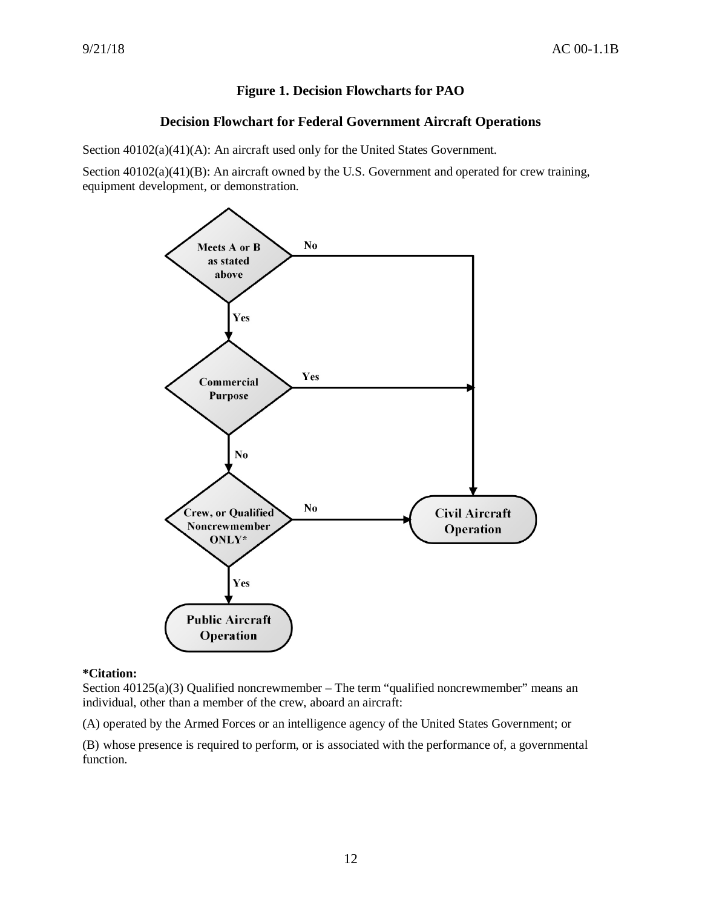## **Figure 1. Decision Flowcharts for PAO**

## **Decision Flowchart for Federal Government Aircraft Operations**

<span id="page-11-0"></span>Section  $40102(a)(41)(A)$ : An aircraft used only for the United States Government.

Section  $40102(a)(41)(B)$ : An aircraft owned by the U.S. Government and operated for crew training, equipment development, or demonstration.



#### **\*Citation:**

Section  $40125(a)(3)$  Qualified noncrewmember – The term "qualified noncrewmember" means an individual, other than a member of the crew, aboard an aircraft:

(A) operated by the Armed Forces or an intelligence agency of the United States Government; or

(B) whose presence is required to perform, or is associated with the performance of, a governmental function.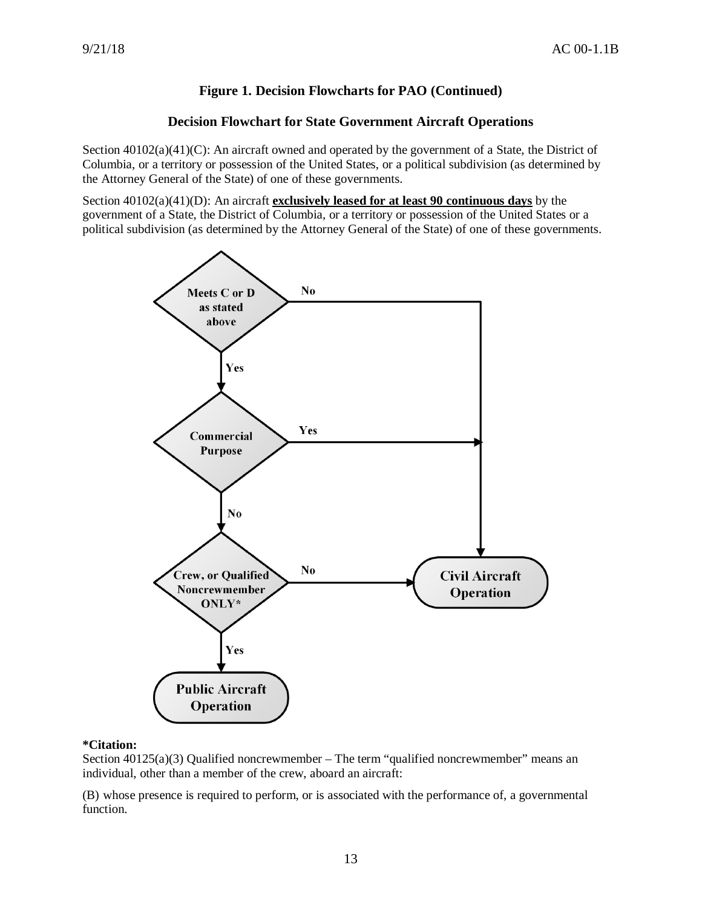## **Figure 1. Decision Flowcharts for PAO (Continued)**

## **Decision Flowchart for State Government Aircraft Operations**

Section 40102(a)(41)(C): An aircraft owned and operated by the government of a State, the District of Columbia, or a territory or possession of the United States, or a political subdivision (as determined by the Attorney General of the State) of one of these governments.

Section 40102(a)(41)(D): An aircraft **exclusively leased for at least 90 continuous days** by the government of a State, the District of Columbia, or a territory or possession of the United States or a political subdivision (as determined by the Attorney General of the State) of one of these governments.



### **\*Citation:**

Section  $40125(a)(3)$  Qualified noncrewmember – The term "qualified noncrewmember" means an individual, other than a member of the crew, aboard an aircraft:

(B) whose presence is required to perform, or is associated with the performance of, a governmental function.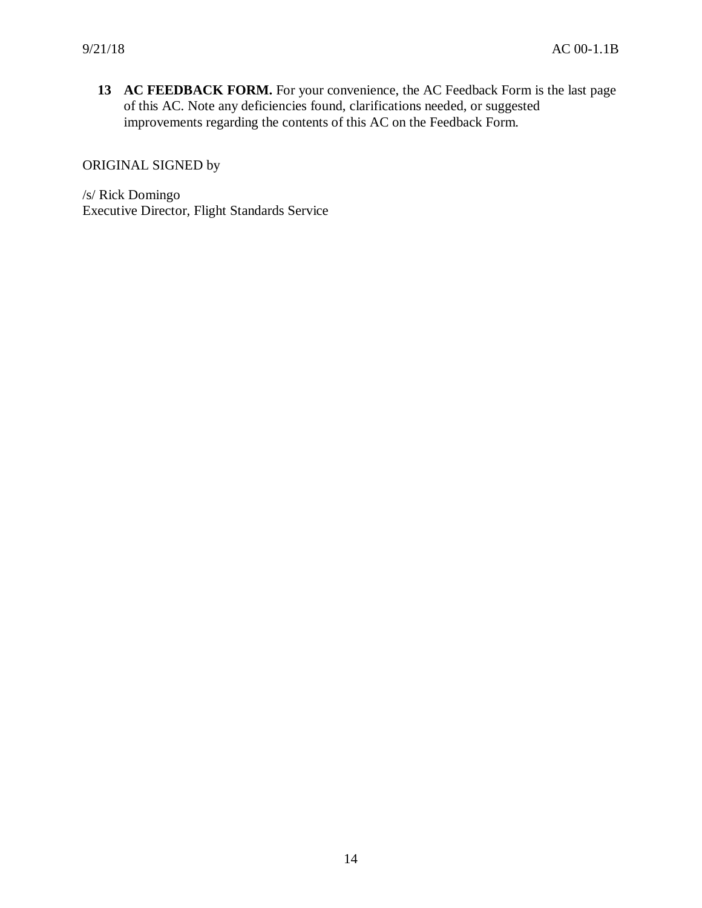**13 AC FEEDBACK FORM.** For your convenience, the AC Feedback Form is the last page of this AC. Note any deficiencies found, clarifications needed, or suggested improvements regarding the contents of this AC on the Feedback Form.

ORIGINAL SIGNED by

/s/ Rick Domingo Executive Director, Flight Standards Service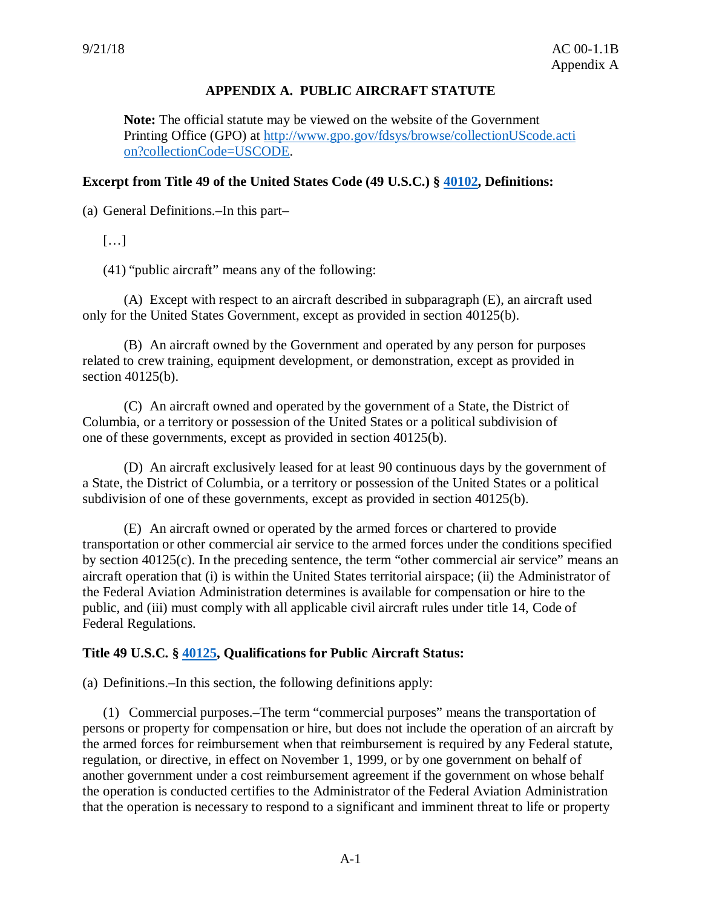## **APPENDIX A. PUBLIC AIRCRAFT STATUTE**

<span id="page-14-0"></span>**Note:** The official statute may be viewed on the website of the Government Printing Office (GPO) at [http://www.gpo.gov/fdsys/browse/collectionUScode.acti](http://www.gpo.gov/fdsys/browse/collectionUScode.action?collectionCode=USCODE) [on?collectionCode=USCODE.](http://www.gpo.gov/fdsys/browse/collectionUScode.action?collectionCode=USCODE)

## **Excerpt from Title 49 of the United States Code (49 U.S.C.) § [40102,](http://uscode.house.gov/view.xhtml?req=granuleid:USC-prelim-title49-section40102&num=0&edition=prelim) Definitions:**

(a) General Definitions.–In this part–

 $[\ldots]$ 

(41) "public aircraft" means any of the following:

(A) Except with respect to an aircraft described in subparagraph (E), an aircraft used only for the United States Government, except as provided in section 40125(b).

(B) An aircraft owned by the Government and operated by any person for purposes related to crew training, equipment development, or demonstration, except as provided in section 40125(b).

(C) An aircraft owned and operated by the government of a State, the District of Columbia, or a territory or possession of the United States or a political subdivision of one of these governments, except as provided in section 40125(b).

(D) An aircraft exclusively leased for at least 90 continuous days by the government of a State, the District of Columbia, or a territory or possession of the United States or a political subdivision of one of these governments, except as provided in section 40125(b).

(E) An aircraft owned or operated by the armed forces or chartered to provide transportation or other commercial air service to the armed forces under the conditions specified by section 40125(c). In the preceding sentence, the term "other commercial air service" means an aircraft operation that (i) is within the United States territorial airspace; (ii) the Administrator of the Federal Aviation Administration determines is available for compensation or hire to the public, and (iii) must comply with all applicable civil aircraft rules under title 14, Code of Federal Regulations.

## **Title 49 U.S.C. § [40125,](http://uscode.house.gov/view.xhtml?req=granuleid:USC-prelim-title49-section40125&num=0&edition=prelim) Qualifications for Public Aircraft Status:**

(a) Definitions.–In this section, the following definitions apply:

(1) Commercial purposes.–The term "commercial purposes" means the transportation of persons or property for compensation or hire, but does not include the operation of an aircraft by the armed forces for reimbursement when that reimbursement is required by any Federal statute, regulation, or directive, in effect on November 1, 1999, or by one government on behalf of another government under a cost reimbursement agreement if the government on whose behalf the operation is conducted certifies to the Administrator of the Federal Aviation Administration that the operation is necessary to respond to a significant and imminent threat to life or property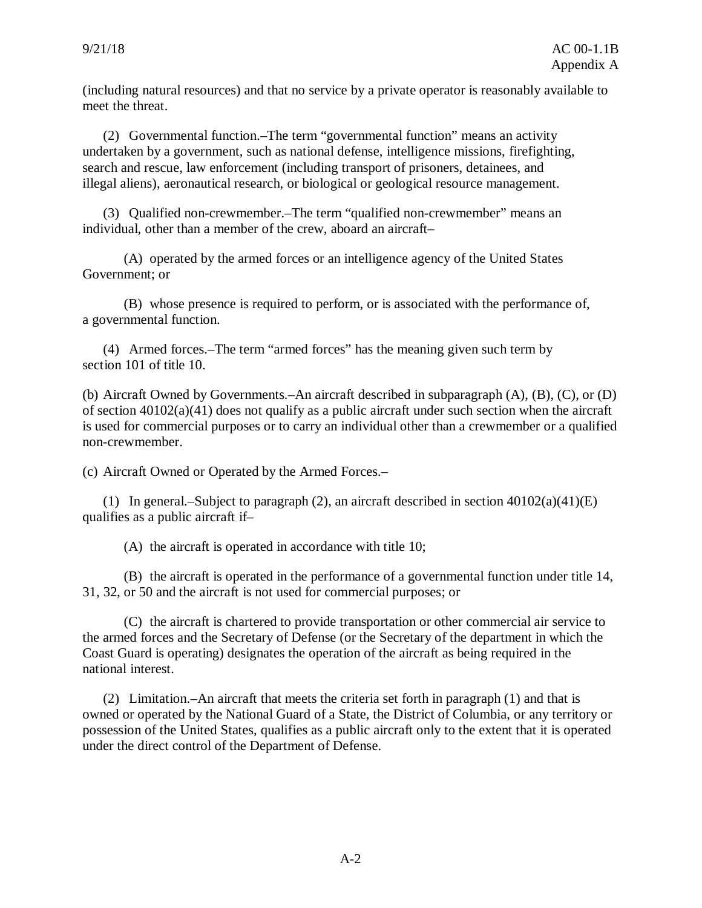(including natural resources) and that no service by a private operator is reasonably available to meet the threat.

(2) Governmental function.–The term "governmental function" means an activity undertaken by a government, such as national defense, intelligence missions, firefighting, search and rescue, law enforcement (including transport of prisoners, detainees, and illegal aliens), aeronautical research, or biological or geological resource management.

(3) Qualified non-crewmember.–The term "qualified non-crewmember" means an individual, other than a member of the crew, aboard an aircraft–

(A) operated by the armed forces or an intelligence agency of the United States Government; or

(B) whose presence is required to perform, or is associated with the performance of, a governmental function.

(4) Armed forces.–The term "armed forces" has the meaning given such term by section 101 of title 10.

(b) Aircraft Owned by Governments.–An aircraft described in subparagraph (A), (B), (C), or (D) of section 40102(a)(41) does not qualify as a public aircraft under such section when the aircraft is used for commercial purposes or to carry an individual other than a crewmember or a qualified non-crewmember.

(c) Aircraft Owned or Operated by the Armed Forces.–

(1) In general.–Subject to paragraph (2), an aircraft described in section 40102(a)(41)(E) qualifies as a public aircraft if–

(A) the aircraft is operated in accordance with title 10;

(B) the aircraft is operated in the performance of a governmental function under title 14, 31, 32, or 50 and the aircraft is not used for commercial purposes; or

(C) the aircraft is chartered to provide transportation or other commercial air service to the armed forces and the Secretary of Defense (or the Secretary of the department in which the Coast Guard is operating) designates the operation of the aircraft as being required in the national interest.

(2) Limitation.–An aircraft that meets the criteria set forth in paragraph (1) and that is owned or operated by the National Guard of a State, the District of Columbia, or any territory or possession of the United States, qualifies as a public aircraft only to the extent that it is operated under the direct control of the Department of Defense.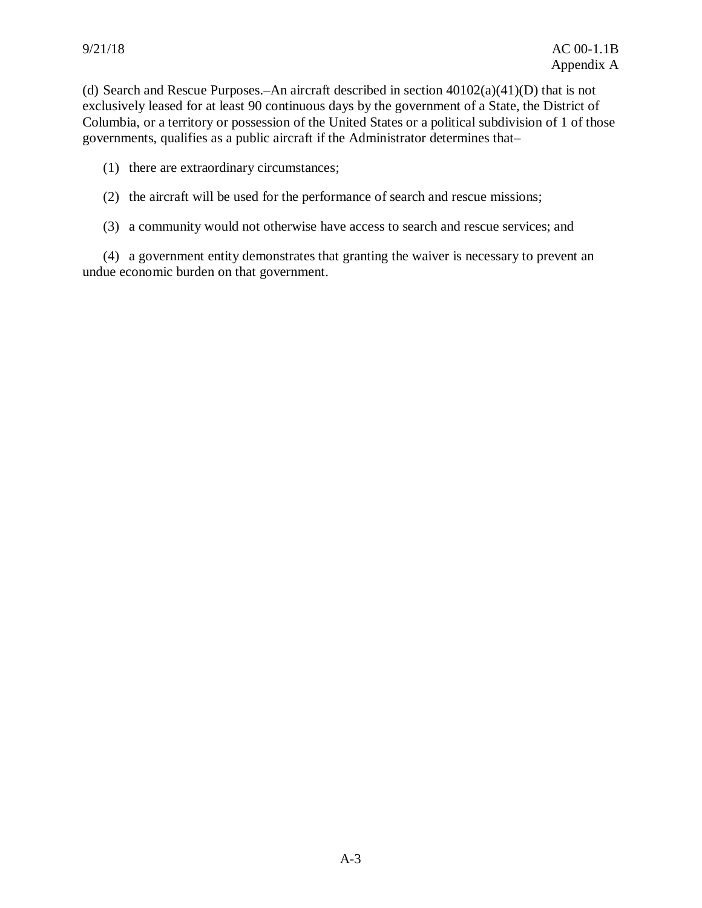(d) Search and Rescue Purposes.–An aircraft described in section 40102(a)(41)(D) that is not exclusively leased for at least 90 continuous days by the government of a State, the District of Columbia, or a territory or possession of the United States or a political subdivision of 1 of those governments, qualifies as a public aircraft if the Administrator determines that–

(1) there are extraordinary circumstances;

(2) the aircraft will be used for the performance of search and rescue missions;

(3) a community would not otherwise have access to search and rescue services; and

(4) a government entity demonstrates that granting the waiver is necessary to prevent an undue economic burden on that government.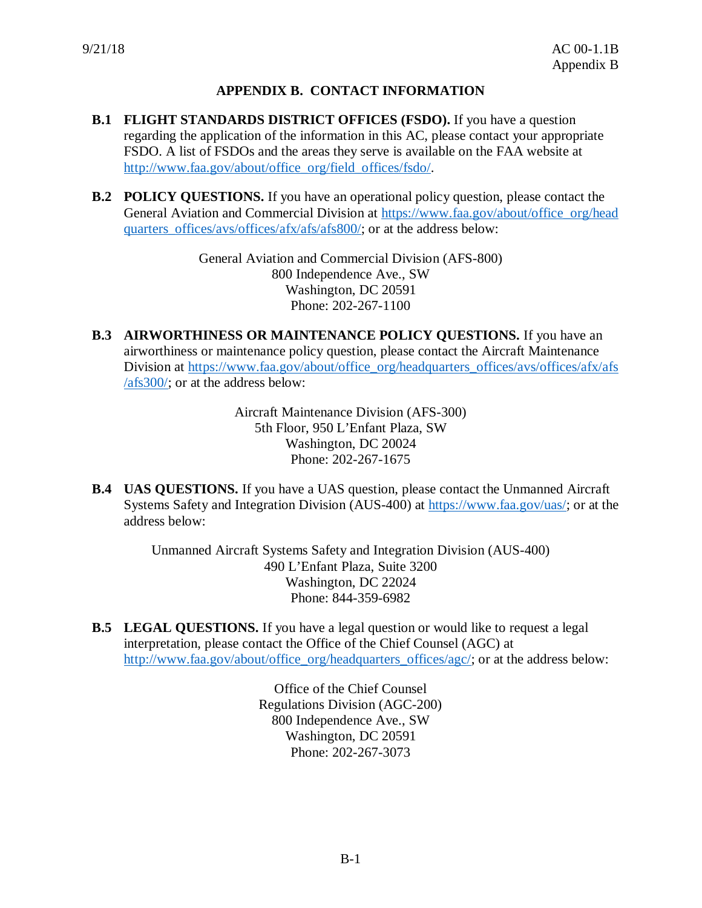# **APPENDIX B. CONTACT INFORMATION**

- <span id="page-17-0"></span>**B.1 FLIGHT STANDARDS DISTRICT OFFICES (FSDO).** If you have a question regarding the application of the information in this AC, please contact your appropriate FSDO. A list of FSDOs and the areas they serve is available on the FAA website at [http://www.faa.gov/about/office\\_org/field\\_offices/fsdo/.](http://www.faa.gov/about/office_org/field_offices/fsdo/)
- **B.2 POLICY QUESTIONS.** If you have an operational policy question, please contact the General Aviation and Commercial Division at [https://www.faa.gov/about/office\\_org/head](https://www.faa.gov/about/office_org/headquarters_offices/avs/offices/afx/afs/afs800/) quarters offices/avs/offices/afx/afs/afs800/; or at the address below:

General Aviation and Commercial Division (AFS-800) 800 Independence Ave., SW Washington, DC 20591 Phone: 202-267-1100

**B.3 AIRWORTHINESS OR MAINTENANCE POLICY QUESTIONS.** If you have an airworthiness or maintenance policy question, please contact the Aircraft Maintenance Division at [https://www.faa.gov/about/office\\_org/headquarters\\_offices/avs/offices/afx/afs](https://www.faa.gov/about/office_org/headquarters_offices/avs/offices/afx/afs/afs300/)  $\sqrt{\text{afs300}}$ ; or at the address below:

> Aircraft Maintenance Division (AFS-300) 5th Floor, 950 L'Enfant Plaza, SW Washington, DC 20024 Phone: 202-267-1675

**B.4 UAS QUESTIONS.** If you have a UAS question, please contact the Unmanned Aircraft Systems Safety and Integration Division (AUS-400) at [https://www.faa.gov/uas/;](https://www.faa.gov/uas/) or at the address below:

> Unmanned Aircraft Systems Safety and Integration Division (AUS-400) 490 L'Enfant Plaza, Suite 3200 Washington, DC 22024 Phone: 844-359-6982

**B.5 LEGAL QUESTIONS.** If you have a legal question or would like to request a legal interpretation, please contact the Office of the Chief Counsel (AGC) at [http://www.faa.gov/about/office\\_org/headquarters\\_offices/agc/;](http://www.faa.gov/about/office_org/headquarters_offices/agc/) or at the address below:

> Office of the Chief Counsel Regulations Division (AGC-200) 800 Independence Ave., SW Washington, DC 20591 Phone: 202-267-3073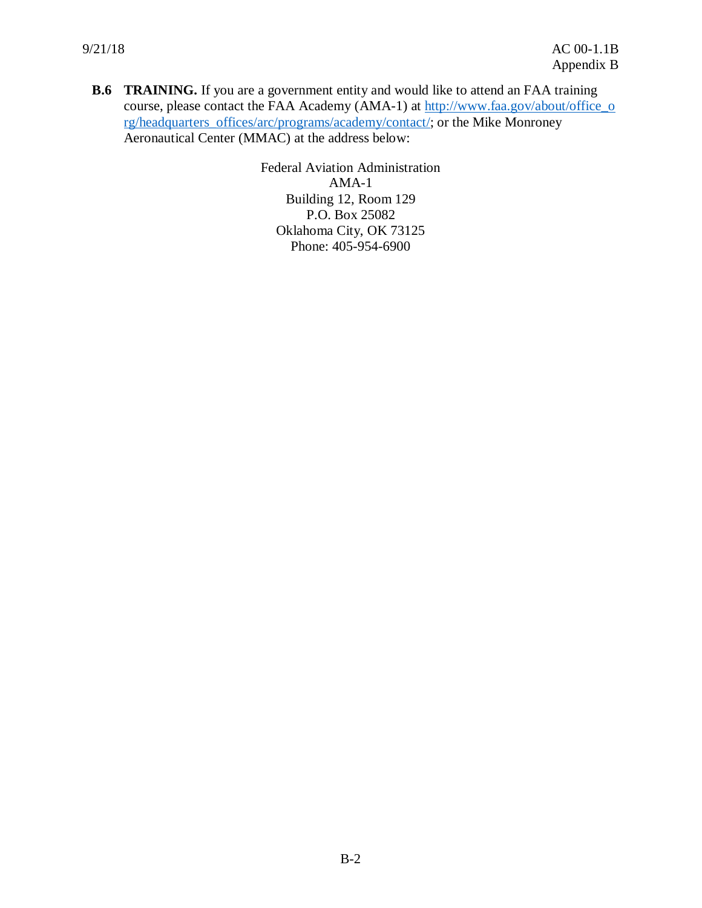<span id="page-18-0"></span>**B.6 TRAINING.** If you are a government entity and would like to attend an FAA training course, please contact the FAA Academy (AMA-1) at [http://www.faa.gov/about/office\\_o](http://www.faa.gov/about/office_org/headquarters_offices/arc/programs/academy/contact/) [rg/headquarters\\_offices/arc/programs/academy/contact/;](http://www.faa.gov/about/office_org/headquarters_offices/arc/programs/academy/contact/) or the Mike Monroney Aeronautical Center (MMAC) at the address below:

> Federal Aviation Administration AMA-1 Building 12, Room 129 P.O. Box 25082 Oklahoma City, OK 73125 Phone: 405-954-6900